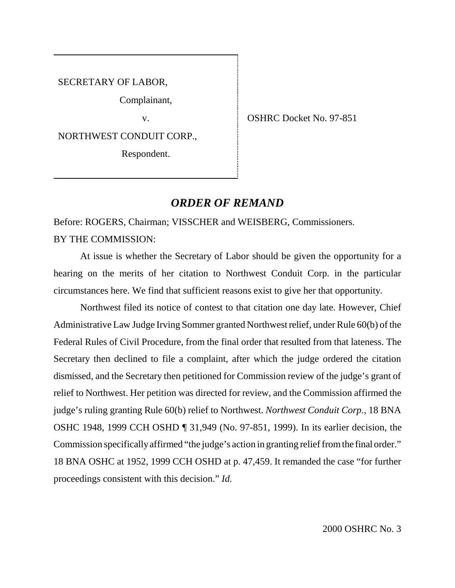SECRETARY OF LABOR,

Complainant,

NORTHWEST CONDUIT CORP.,

Respondent.

v. SHRC Docket No. 97-851

## *ORDER OF REMAND*

Before: ROGERS, Chairman; VISSCHER and WEISBERG, Commissioners. BY THE COMMISSION:

At issue is whether the Secretary of Labor should be given the opportunity for a hearing on the merits of her citation to Northwest Conduit Corp. in the particular circumstances here. We find that sufficient reasons exist to give her that opportunity.

Northwest filed its notice of contest to that citation one day late. However, Chief Administrative Law Judge Irving Sommer granted Northwest relief, under Rule 60(b) of the Federal Rules of Civil Procedure, from the final order that resulted from that lateness. The Secretary then declined to file a complaint, after which the judge ordered the citation dismissed, and the Secretary then petitioned for Commission review of the judge's grant of relief to Northwest. Her petition was directed for review, and the Commission affirmed the judge's ruling granting Rule 60(b) relief to Northwest. *Northwest Conduit Corp.*, 18 BNA OSHC 1948, 1999 CCH OSHD ¶ 31,949 (No. 97-851, 1999). In its earlier decision, the Commission specifically affirmed "the judge's action in granting relief from the final order." 18 BNA OSHC at 1952, 1999 CCH OSHD at p. 47,459. It remanded the case "for further proceedings consistent with this decision." *Id.*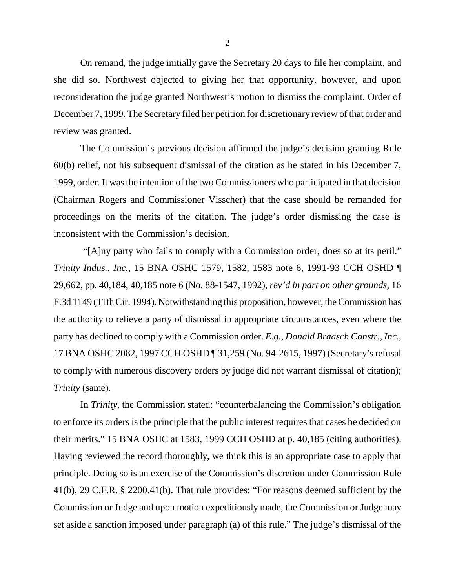On remand, the judge initially gave the Secretary 20 days to file her complaint, and she did so. Northwest objected to giving her that opportunity, however, and upon reconsideration the judge granted Northwest's motion to dismiss the complaint. Order of December 7, 1999. The Secretary filed her petition for discretionary review of that order and review was granted.

The Commission's previous decision affirmed the judge's decision granting Rule 60(b) relief, not his subsequent dismissal of the citation as he stated in his December 7, 1999, order. It was the intention of the two Commissioners who participated in that decision (Chairman Rogers and Commissioner Visscher) that the case should be remanded for proceedings on the merits of the citation. The judge's order dismissing the case is inconsistent with the Commission's decision.

 "[A]ny party who fails to comply with a Commission order, does so at its peril." *Trinity Indus., Inc.*, 15 BNA OSHC 1579, 1582, 1583 note 6, 1991-93 CCH OSHD ¶ 29,662, pp. 40,184, 40,185 note 6 (No. 88-1547, 1992), *rev'd in part on other grounds*, 16 F.3d 1149 (11th Cir. 1994). Notwithstanding this proposition, however, the Commission has the authority to relieve a party of dismissal in appropriate circumstances, even where the party has declined to comply with a Commission order. *E.g., Donald Braasch Constr., Inc.*, 17 BNA OSHC 2082, 1997 CCH OSHD ¶ 31,259 (No. 94-2615, 1997) (Secretary's refusal to comply with numerous discovery orders by judge did not warrant dismissal of citation); *Trinity* (same).

In *Trinity*, the Commission stated: "counterbalancing the Commission's obligation to enforce its orders is the principle that the public interest requires that cases be decided on their merits." 15 BNA OSHC at 1583, 1999 CCH OSHD at p. 40,185 (citing authorities). Having reviewed the record thoroughly, we think this is an appropriate case to apply that principle. Doing so is an exercise of the Commission's discretion under Commission Rule 41(b), 29 C.F.R. § 2200.41(b). That rule provides: "For reasons deemed sufficient by the Commission or Judge and upon motion expeditiously made, the Commission or Judge may set aside a sanction imposed under paragraph (a) of this rule." The judge's dismissal of the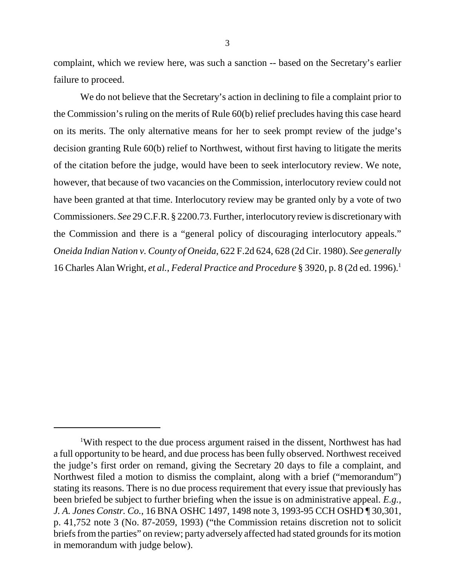complaint, which we review here, was such a sanction -- based on the Secretary's earlier failure to proceed.

We do not believe that the Secretary's action in declining to file a complaint prior to the Commission's ruling on the merits of Rule 60(b) relief precludes having this case heard on its merits. The only alternative means for her to seek prompt review of the judge's decision granting Rule 60(b) relief to Northwest, without first having to litigate the merits of the citation before the judge, would have been to seek interlocutory review. We note, however, that because of two vacancies on the Commission, interlocutory review could not have been granted at that time. Interlocutory review may be granted only by a vote of two Commissioners. *See* 29 C.F.R. § 2200.73. Further, interlocutory review is discretionary with the Commission and there is a "general policy of discouraging interlocutory appeals." *Oneida Indian Nation v. County of Oneida*, 622 F.2d 624, 628 (2d Cir. 1980). *See generally* 16 Charles Alan Wright, *et al.*, *Federal Practice and Procedure* § 3920, p. 8 (2d ed. 1996).1

<sup>&</sup>lt;sup>1</sup>With respect to the due process argument raised in the dissent, Northwest has had a full opportunity to be heard, and due process has been fully observed. Northwest received the judge's first order on remand, giving the Secretary 20 days to file a complaint, and Northwest filed a motion to dismiss the complaint, along with a brief ("memorandum") stating its reasons. There is no due process requirement that every issue that previously has been briefed be subject to further briefing when the issue is on administrative appeal. *E.g., J. A. Jones Constr. Co.*, 16 BNA OSHC 1497, 1498 note 3, 1993-95 CCH OSHD ¶ 30,301, p. 41,752 note 3 (No. 87-2059, 1993) ("the Commission retains discretion not to solicit briefs from the parties" on review; party adversely affected had stated grounds for its motion in memorandum with judge below).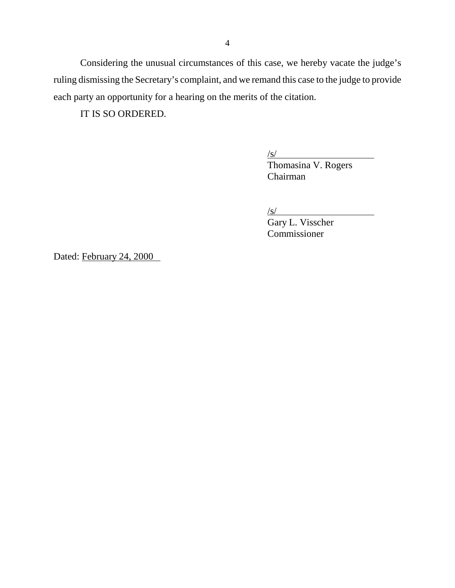Considering the unusual circumstances of this case, we hereby vacate the judge's ruling dismissing the Secretary's complaint, and we remand this case to the judge to provide each party an opportunity for a hearing on the merits of the citation.

IT IS SO ORDERED.

 $\sqrt{s}$ /

Thomasina V. Rogers Chairman

 $\sqrt{s/2}$ 

Gary L. Visscher Commissioner

Dated: February 24, 2000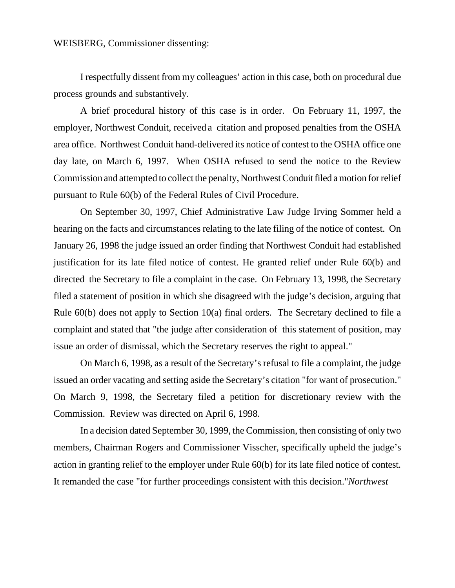## WEISBERG, Commissioner dissenting:

I respectfully dissent from my colleagues' action in this case, both on procedural due process grounds and substantively.

A brief procedural history of this case is in order. On February 11, 1997, the employer, Northwest Conduit, received a citation and proposed penalties from the OSHA area office. Northwest Conduit hand-delivered its notice of contest to the OSHA office one day late, on March 6, 1997. When OSHA refused to send the notice to the Review Commission and attempted to collect the penalty, Northwest Conduit filed a motion for relief pursuant to Rule 60(b) of the Federal Rules of Civil Procedure.

On September 30, 1997, Chief Administrative Law Judge Irving Sommer held a hearing on the facts and circumstances relating to the late filing of the notice of contest. On January 26, 1998 the judge issued an order finding that Northwest Conduit had established justification for its late filed notice of contest. He granted relief under Rule 60(b) and directed the Secretary to file a complaint in the case. On February 13, 1998, the Secretary filed a statement of position in which she disagreed with the judge's decision, arguing that Rule 60(b) does not apply to Section 10(a) final orders. The Secretary declined to file a complaint and stated that "the judge after consideration of this statement of position, may issue an order of dismissal, which the Secretary reserves the right to appeal."

On March 6, 1998, as a result of the Secretary's refusal to file a complaint, the judge issued an order vacating and setting aside the Secretary's citation "for want of prosecution." On March 9, 1998, the Secretary filed a petition for discretionary review with the Commission. Review was directed on April 6, 1998.

In a decision dated September 30, 1999, the Commission, then consisting of only two members, Chairman Rogers and Commissioner Visscher, specifically upheld the judge's action in granting relief to the employer under Rule 60(b) for its late filed notice of contest. It remanded the case "for further proceedings consistent with this decision." *Northwest*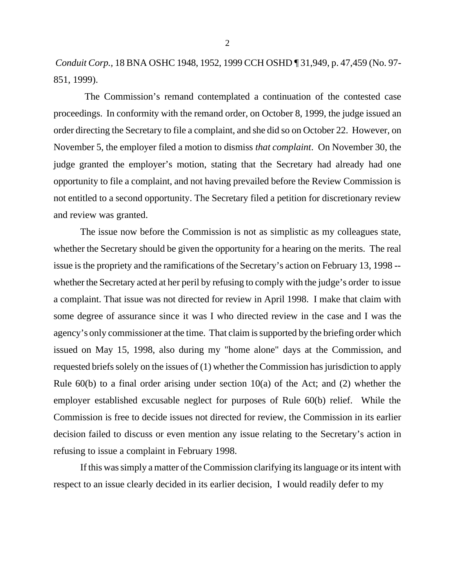*Conduit Corp.,* 18 BNA OSHC 1948, 1952, 1999 CCH OSHD ¶ 31,949, p. 47,459 (No. 97- 851, 1999).

 The Commission's remand contemplated a continuation of the contested case proceedings. In conformity with the remand order, on October 8, 1999, the judge issued an order directing the Secretary to file a complaint, and she did so on October 22. However, on November 5, the employer filed a motion to dismiss *that complaint*. On November 30, the judge granted the employer's motion, stating that the Secretary had already had one opportunity to file a complaint, and not having prevailed before the Review Commission is not entitled to a second opportunity. The Secretary filed a petition for discretionary review and review was granted.

The issue now before the Commission is not as simplistic as my colleagues state, whether the Secretary should be given the opportunity for a hearing on the merits. The real issue is the propriety and the ramifications of the Secretary's action on February 13, 1998 - whether the Secretary acted at her peril by refusing to comply with the judge's order to issue a complaint. That issue was not directed for review in April 1998. I make that claim with some degree of assurance since it was I who directed review in the case and I was the agency's only commissioner at the time. That claim is supported by the briefing order which issued on May 15, 1998, also during my "home alone" days at the Commission, and requested briefs solely on the issues of (1) whether the Commission has jurisdiction to apply Rule  $60(b)$  to a final order arising under section  $10(a)$  of the Act; and (2) whether the employer established excusable neglect for purposes of Rule 60(b) relief. While the Commission is free to decide issues not directed for review, the Commission in its earlier decision failed to discuss or even mention any issue relating to the Secretary's action in refusing to issue a complaint in February 1998.

If this was simply a matter of the Commission clarifying its language or its intent with respect to an issue clearly decided in its earlier decision, I would readily defer to my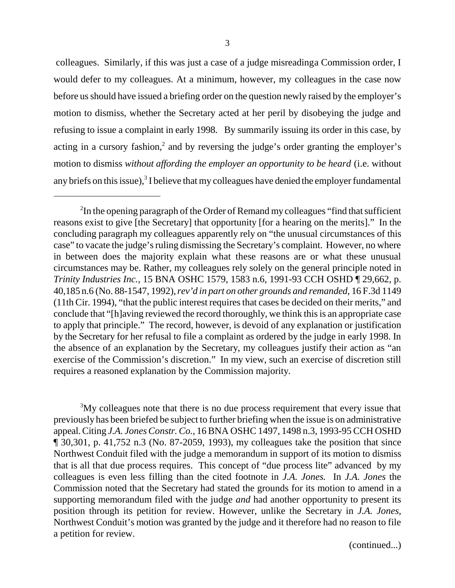colleagues. Similarly, if this was just a case of a judge misreading a Commission order, I would defer to my colleagues. At a minimum, however, my colleagues in the case now before us should have issued a briefing order on the question newly raised by the employer's motion to dismiss, whether the Secretary acted at her peril by disobeying the judge and refusing to issue a complaint in early 1998. By summarily issuing its order in this case, by acting in a cursory fashion,<sup>2</sup> and by reversing the judge's order granting the employer's motion to dismiss *without affording the employer an opportunity to be heard* (i.e. without any briefs on this issue), $3$  I believe that my colleagues have denied the employer fundamental

<sup>3</sup>My colleagues note that there is no due process requirement that every issue that previously has been briefed be subject to further briefing when the issue is on administrative appeal. Citing *J.A. Jones Constr. Co.*, 16 BNA OSHC 1497, 1498 n.3, 1993-95 CCH OSHD ¶ 30,301, p. 41,752 n.3 (No. 87-2059, 1993), my colleagues take the position that since Northwest Conduit filed with the judge a memorandum in support of its motion to dismiss that is all that due process requires. This concept of "due process lite" advanced by my colleagues is even less filling than the cited footnote in *J.A. Jones.* In *J.A. Jones* the Commission noted that the Secretary had stated the grounds for its motion to amend in a supporting memorandum filed with the judge *and* had another opportunity to present its position through its petition for review. However, unlike the Secretary in *J.A. Jones*, Northwest Conduit's motion was granted by the judge and it therefore had no reason to file a petition for review.

(continued...)

<sup>&</sup>lt;sup>2</sup>In the opening paragraph of the Order of Remand my colleagues "find that sufficient reasons exist to give [the Secretary] that opportunity [for a hearing on the merits]." In the concluding paragraph my colleagues apparently rely on "the unusual circumstances of this case" to vacate the judge's ruling dismissing the Secretary's complaint. However, no where in between does the majority explain what these reasons are or what these unusual circumstances may be. Rather, my colleagues rely solely on the general principle noted in *Trinity Industries Inc.,* 15 BNA OSHC 1579, 1583 n.6, 1991-93 CCH OSHD ¶ 29,662, p. 40,185 n.6 (No. 88-1547, 1992), *rev'd in part on other grounds and remanded,* 16 F.3d 1149 (11th Cir. 1994), "that the public interest requires that cases be decided on their merits," and conclude that "[h]aving reviewed the record thoroughly, we think this is an appropriate case to apply that principle." The record, however, is devoid of any explanation or justification by the Secretary for her refusal to file a complaint as ordered by the judge in early 1998. In the absence of an explanation by the Secretary, my colleagues justify their action as "an exercise of the Commission's discretion." In my view, such an exercise of discretion still requires a reasoned explanation by the Commission majority.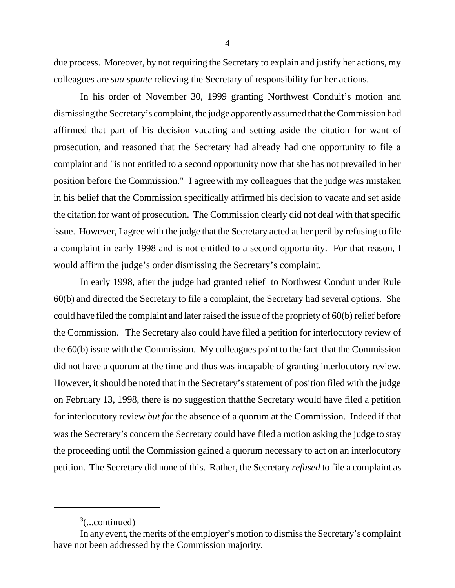due process. Moreover, by not requiring the Secretary to explain and justify her actions, my colleagues are *sua sponte* relieving the Secretary of responsibility for her actions.

In his order of November 30, 1999 granting Northwest Conduit's motion and dismissing the Secretary's complaint, the judge apparently assumed that the Commission had affirmed that part of his decision vacating and setting aside the citation for want of prosecution, and reasoned that the Secretary had already had one opportunity to file a complaint and "is not entitled to a second opportunity now that she has not prevailed in her position before the Commission." I agree with my colleagues that the judge was mistaken in his belief that the Commission specifically affirmed his decision to vacate and set aside the citation for want of prosecution. The Commission clearly did not deal with that specific issue. However, I agree with the judge that the Secretary acted at her peril by refusing to file a complaint in early 1998 and is not entitled to a second opportunity. For that reason, I would affirm the judge's order dismissing the Secretary's complaint.

In early 1998, after the judge had granted relief to Northwest Conduit under Rule 60(b) and directed the Secretary to file a complaint, the Secretary had several options. She could have filed the complaint and later raised the issue of the propriety of 60(b) relief before the Commission. The Secretary also could have filed a petition for interlocutory review of the 60(b) issue with the Commission. My colleagues point to the fact that the Commission did not have a quorum at the time and thus was incapable of granting interlocutory review. However, it should be noted that in the Secretary's statement of position filed with the judge on February 13, 1998, there is no suggestion that the Secretary would have filed a petition for interlocutory review *but for* the absence of a quorum at the Commission. Indeed if that was the Secretary's concern the Secretary could have filed a motion asking the judge to stay the proceeding until the Commission gained a quorum necessary to act on an interlocutory petition. The Secretary did none of this. Rather, the Secretary *refused* to file a complaint as

 $3$ (...continued)

In any event, the merits of the employer's motion to dismiss the Secretary's complaint have not been addressed by the Commission majority.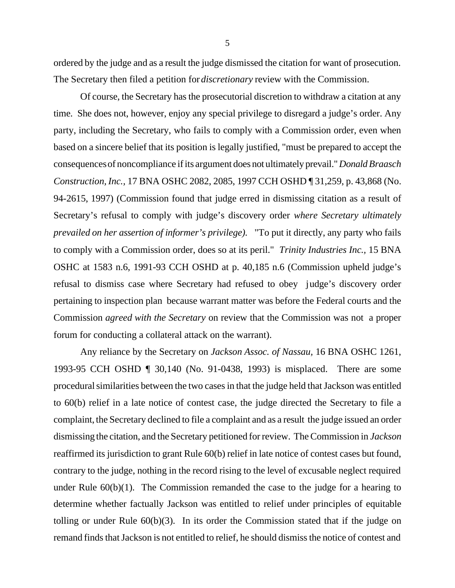ordered by the judge and as a result the judge dismissed the citation for want of prosecution. The Secretary then filed a petition for *discretionary* review with the Commission.

Of course, the Secretary has the prosecutorial discretion to withdraw a citation at any time. She does not, however, enjoy any special privilege to disregard a judge's order. Any party, including the Secretary, who fails to comply with a Commission order, even when based on a sincere belief that its position is legally justified, "must be prepared to accept the consequences of noncompliance if its argument does not ultimately prevail." *Donald Braasch Construction, Inc.,* 17 BNA OSHC 2082, 2085, 1997 CCH OSHD ¶ 31,259, p. 43,868 (No. 94-2615, 1997) (Commission found that judge erred in dismissing citation as a result of Secretary's refusal to comply with judge's discovery order *where Secretary ultimately prevailed on her assertion of informer's privilege).* "To put it directly, any party who fails to comply with a Commission order, does so at its peril." *Trinity Industries Inc.,* 15 BNA OSHC at 1583 n.6, 1991-93 CCH OSHD at p. 40,185 n.6 (Commission upheld judge's refusal to dismiss case where Secretary had refused to obey judge's discovery order pertaining to inspection plan because warrant matter was before the Federal courts and the Commission *agreed with the Secretary* on review that the Commission was not a proper forum for conducting a collateral attack on the warrant).

Any reliance by the Secretary on *Jackson Assoc. of Nassau,* 16 BNA OSHC 1261, 1993-95 CCH OSHD ¶ 30,140 (No. 91-0438, 1993) is misplaced. There are some procedural similarities between the two cases in that the judge held that Jackson was entitled to 60(b) relief in a late notice of contest case, the judge directed the Secretary to file a complaint, the Secretary declined to file a complaint and as a result the judge issued an order dismissing the citation, and the Secretary petitioned for review. The Commission in *Jackson* reaffirmed its jurisdiction to grant Rule 60(b) relief in late notice of contest cases but found, contrary to the judge, nothing in the record rising to the level of excusable neglect required under Rule  $60(b)(1)$ . The Commission remanded the case to the judge for a hearing to determine whether factually Jackson was entitled to relief under principles of equitable tolling or under Rule 60(b)(3). In its order the Commission stated that if the judge on remand finds that Jackson is not entitled to relief, he should dismiss the notice of contest and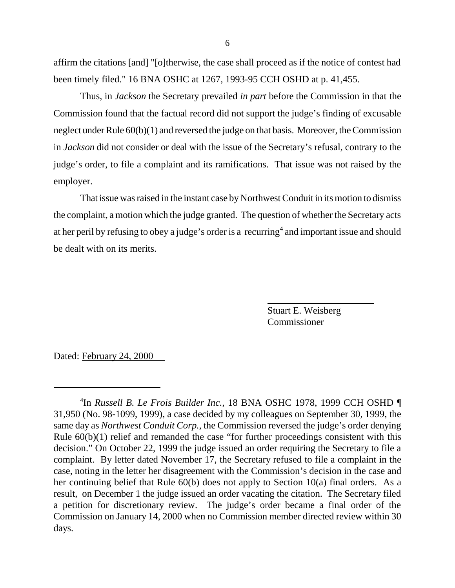affirm the citations [and] "[o]therwise, the case shall proceed as if the notice of contest had been timely filed." 16 BNA OSHC at 1267, 1993-95 CCH OSHD at p. 41,455.

Thus, in *Jackson* the Secretary prevailed *in part* before the Commission in that the Commission found that the factual record did not support the judge's finding of excusable neglect under Rule 60(b)(1) and reversed the judge on that basis. Moreover, the Commission in *Jackson* did not consider or deal with the issue of the Secretary's refusal, contrary to the judge's order, to file a complaint and its ramifications. That issue was not raised by the employer.

That issue was raised in the instant case by Northwest Conduit in its motion to dismiss the complaint, a motion which the judge granted. The question of whether the Secretary acts at her peril by refusing to obey a judge's order is a recurring<sup>4</sup> and important issue and should be dealt with on its merits.

> Stuart E. Weisberg Commissioner

Dated: February 24, 2000

<sup>4</sup> In *Russell B. Le Frois Builder Inc.,* 18 BNA OSHC 1978, 1999 CCH OSHD ¶ 31,950 (No. 98-1099, 1999), a case decided by my colleagues on September 30, 1999, the same day as *Northwest Conduit Corp.*, the Commission reversed the judge's order denying Rule 60(b)(1) relief and remanded the case "for further proceedings consistent with this decision." On October 22, 1999 the judge issued an order requiring the Secretary to file a complaint. By letter dated November 17, the Secretary refused to file a complaint in the case, noting in the letter her disagreement with the Commission's decision in the case and her continuing belief that Rule 60(b) does not apply to Section 10(a) final orders. As a result, on December 1 the judge issued an order vacating the citation. The Secretary filed a petition for discretionary review. The judge's order became a final order of the Commission on January 14, 2000 when no Commission member directed review within 30 days.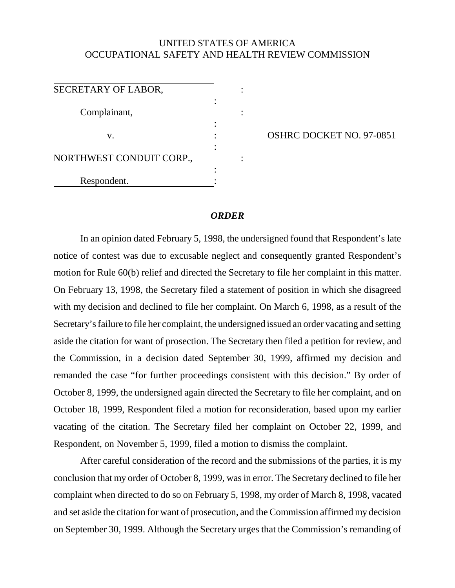## UNITED STATES OF AMERICA OCCUPATIONAL SAFETY AND HEALTH REVIEW COMMISSION

| SECRETARY OF LABOR,      |  |
|--------------------------|--|
| Complainant,             |  |
|                          |  |
| V.                       |  |
|                          |  |
| NORTHWEST CONDUIT CORP., |  |
|                          |  |
| Respondent.              |  |

OSHRC DOCKET NO. 97-0851

## *ORDER*

In an opinion dated February 5, 1998, the undersigned found that Respondent's late notice of contest was due to excusable neglect and consequently granted Respondent's motion for Rule 60(b) relief and directed the Secretary to file her complaint in this matter. On February 13, 1998, the Secretary filed a statement of position in which she disagreed with my decision and declined to file her complaint. On March 6, 1998, as a result of the Secretary's failure to file her complaint, the undersigned issued an order vacating and setting aside the citation for want of prosection. The Secretary then filed a petition for review, and the Commission, in a decision dated September 30, 1999, affirmed my decision and remanded the case "for further proceedings consistent with this decision." By order of October 8, 1999, the undersigned again directed the Secretary to file her complaint, and on October 18, 1999, Respondent filed a motion for reconsideration, based upon my earlier vacating of the citation. The Secretary filed her complaint on October 22, 1999, and Respondent, on November 5, 1999, filed a motion to dismiss the complaint.

After careful consideration of the record and the submissions of the parties, it is my conclusion that my order of October 8, 1999, was in error. The Secretary declined to file her complaint when directed to do so on February 5, 1998, my order of March 8, 1998, vacated and set aside the citation for want of prosecution, and the Commission affirmed my decision on September 30, 1999. Although the Secretary urges that the Commission's remanding of